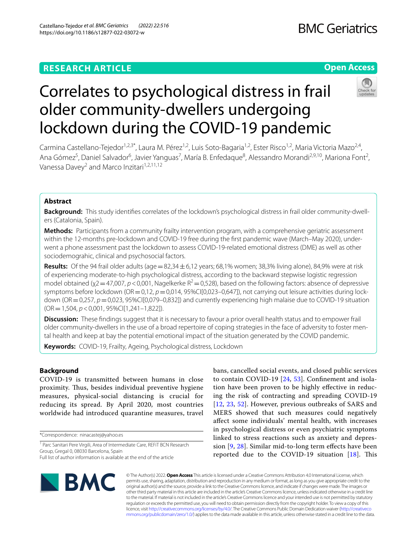## **RESEARCH ARTICLE**

## **BMC Geriatrics**

## **Open Access**



# Correlates to psychological distress in frail older community‑dwellers undergoing lockdown during the COVID‑19 pandemic

Carmina Castellano-Tejedor<sup>1,2,3\*</sup>, Laura M. Pérez<sup>1,2</sup>, Luis Soto-Bagaria<sup>1,2</sup>, Ester Risco<sup>1,2</sup>, Maria Victoria Mazo<sup>2,4</sup>, Ana Gómez<sup>5</sup>, Daniel Salvador<sup>6</sup>, Javier Yanguas<sup>7</sup>, María B. Enfedaque<sup>8</sup>, Alessandro Morandi<sup>2,9,10</sup>, Mariona Font<sup>2</sup>, Vanessa Davey<sup>2</sup> and Marco Inzitari<sup>1,2,11,12</sup>

## **Abstract**

**Background:** This study identifies correlates of the lockdown's psychological distress in frail older community-dwellers (Catalonia, Spain).

**Methods:** Participants from a community frailty intervention program, with a comprehensive geriatric assessment within the 12-months pre-lockdown and COVID-19 free during the first pandemic wave (March–May 2020), underwent a phone assessment past the lockdown to assess COVID-19-related emotional distress (DME) as well as other sociodemograhic, clinical and psychosocial factors.

**Results:** Of the 94 frail older adults (age =  $82,34 \pm 6,12$  years; 68,1% women; 38,3% living alone), 84,9% were at risk of experiencing moderate-to-high psychological distress, according to the backward stepwise logistic regression model obtained ( $\chi$ 2=47,007, *p* < 0,001, Nagelkerke R<sup>2</sup>=0,528), based on the following factors: absence of depressive symptoms before lockdown (OR = 0,12,  $p = 0.014$ , 95%CI[0,023–0,647]), not carrying out leisure activities during lockdown (OR=0,257, *p*=0,023, 95%CI[0,079–0,832]) and currently experiencing high malaise due to COVID-19 situation (OR=1,504, *p*<0,001, 95%CI[1,241–1,822]).

**Discussion:** These fndings suggest that it is necessary to favour a prior overall health status and to empower frail older community-dwellers in the use of a broad repertoire of coping strategies in the face of adversity to foster mental health and keep at bay the potential emotional impact of the situation generated by the COVID pandemic.

**Keywords:** COVID-19, Frailty, Ageing, Psychological distress, Lockdown

## **Background**

COVID-19 is transmitted between humans in close proximity. Thus, besides individual preventive hygiene measures, physical-social distancing is crucial for reducing its spread. By April 2020, most countries worldwide had introduced quarantine measures, travel

\*Correspondence: ninacastej@yahoo.es

Full list of author information is available at the end of the article

bans, cancelled social events, and closed public services to contain COVID-19 [[24](#page-8-0), [53\]](#page-9-0). Confnement and isolation have been proven to be highly efective in reducing the risk of contracting and spreading COVID-19 [[12](#page-8-1), [23,](#page-8-2) [52](#page-9-1)]. However, previous outbreaks of SARS and MERS showed that such measures could negatively afect some individuals' mental health, with increases in psychological distress or even psychiatric symptoms linked to stress reactions such as anxiety and depression  $[9, 28]$  $[9, 28]$  $[9, 28]$ . Similar mid-to-long term effects have been reported due to the COVID-19 situation  $[18]$ . This



© The Author(s) 2022. **Open Access** This article is licensed under a Creative Commons Attribution 4.0 International License, which permits use, sharing, adaptation, distribution and reproduction in any medium or format, as long as you give appropriate credit to the original author(s) and the source, provide a link to the Creative Commons licence, and indicate if changes were made. The images or other third party material in this article are included in the article's Creative Commons licence, unless indicated otherwise in a credit line to the material. If material is not included in the article's Creative Commons licence and your intended use is not permitted by statutory regulation or exceeds the permitted use, you will need to obtain permission directly from the copyright holder. To view a copy of this licence, visit [http://creativecommons.org/licenses/by/4.0/.](http://creativecommons.org/licenses/by/4.0/) The Creative Commons Public Domain Dedication waiver ([http://creativeco](http://creativecommons.org/publicdomain/zero/1.0/) [mmons.org/publicdomain/zero/1.0/](http://creativecommons.org/publicdomain/zero/1.0/)) applies to the data made available in this article, unless otherwise stated in a credit line to the data.

<sup>&</sup>lt;sup>1</sup> Parc Sanitari Pere Virgili, Area of Intermediate Care, REFIT BCN Research Group, Gregal 0, 08030 Barcelona, Spain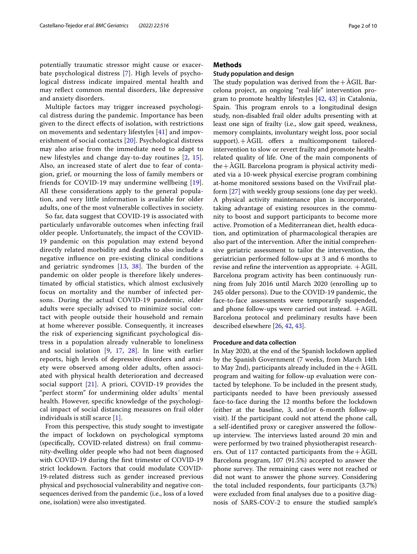Multiple factors may trigger increased psychological distress during the pandemic. Importance has been given to the direct efects of isolation, with restrictions on movements and sedentary lifestyles [[41](#page-8-7)] and impoverishment of social contacts [[20\]](#page-8-8). Psychological distress may also arise from the immediate need to adapt to new lifestyles and change day-to-day routines [\[2,](#page-7-0) [15\]](#page-8-9). Also, an increased state of alert due to fear of contagion, grief, or mourning the loss of family members or friends for COVID-19 may undermine wellbeing [[19\]](#page-8-10). All these considerations apply to the general population, and very little information is available for older adults, one of the most vulnerable collectives in society.

So far, data suggest that COVID-19 is associated with particularly unfavorable outcomes when infecting frail older people. Unfortunately, the impact of the COVID-19 pandemic on this population may extend beyond directly related morbidity and deaths to also include a negative infuence on pre-existing clinical conditions and geriatric syndromes  $[13, 38]$  $[13, 38]$  $[13, 38]$  $[13, 38]$  $[13, 38]$ . The burden of the pandemic on older people is therefore likely underestimated by official statistics, which almost exclusively focus on mortality and the number of infected persons. During the actual COVID-19 pandemic, older adults were specially advised to minimize social contact with people outside their household and remain at home wherever possible. Consequently, it increases the risk of experiencing signifcant psychological distress in a population already vulnerable to loneliness and social isolation [\[9](#page-8-3), [17](#page-8-13), [28](#page-8-4)]. In line with earlier reports, high levels of depressive disorders and anxiety were observed among older adults, often associated with physical health deterioration and decreased social support [\[21](#page-8-14)]. A priori, COVID-19 provides the "perfect storm" for undermining older adults´ mental health. However, specifc knowledge of the psychological impact of social distancing measures on frail older individuals is still scarce [\[1\]](#page-7-1).

From this perspective, this study sought to investigate the impact of lockdown on psychological symptoms (specifcally, COVID-related distress) on frail community-dwelling older people who had not been diagnosed with COVID-19 during the frst trimester of COVID-19 strict lockdown. Factors that could modulate COVID-19-related distress such as gender increased previous physical and psychosocial vulnerability and negative consequences derived from the pandemic (i.e., loss of a loved one, isolation) were also investigated.

#### **Methods**

#### **Study population and design**

The study population was derived from the  $+\tilde{A}$ GIL Barcelona project, an ongoing "real-life" intervention program to promote healthy lifestyles [[42,](#page-9-2) [43](#page-9-3)] in Catalonia, Spain. This program enrols to a longitudinal design study, non-disabled frail older adults presenting with at least one sign of frailty (i.e., slow gait speed, weakness, memory complaints, involuntary weight loss, poor social  $support$ ).  $+\overline{AGIL}$  offers a multicomponent tailoredintervention to slow or revert frailty and promote healthrelated quality of life. One of the main components of the+ÀGIL Barcelona program is physical activity mediated via a 10-week physical exercise program combining at-home monitored sessions based on the ViviFrail platform [\[27](#page-8-15)] with weekly group sessions (one day per week). A physical activity maintenance plan is incorporated, taking advantage of existing resources in the community to boost and support participants to become more active. Promotion of a Mediterranean diet, health education, and optimization of pharmacological therapies are also part of the intervention. After the initial comprehensive geriatric assessment to tailor the intervention, the geriatrician performed follow-ups at 3 and 6 months to revise and refine the intervention as appropriate.  $+\text{\textup{AGIL}}$ Barcelona program activity has been continuously running from July 2016 until March 2020 (enrolling up to 245 older persons). Due to the COVID-19 pandemic, the face-to-face assessments were temporarily suspended, and phone follow-ups were carried out instead.  $+AGIL$ Barcelona protocol and preliminary results have been described elsewhere [[26,](#page-8-16) [42,](#page-9-2) [43](#page-9-3)].

#### **Procedure and data collection**

In May 2020, at the end of the Spanish lockdown applied by the Spanish Government (7 weeks, from March 14th to May 2nd), participants already included in the  $+$  AGIL program and waiting for follow-up evaluation were contacted by telephone. To be included in the present study, participants needed to have been previously assessed face-to-face during the 12 months before the lockdown (either at the baseline, 3, and/or 6-month follow-up visit). If the participant could not attend the phone call, a self-identifed proxy or caregiver answered the followup interview. The interviews lasted around 20 min and were performed by two trained physiotherapist researchers. Out of 117 contacted participants from the  $+\text{\AA}GIL$ Barcelona program, 107 (91.5%) accepted to answer the phone survey. The remaining cases were not reached or did not want to answer the phone survey. Considering the total included respondents, four participants (3.7%) were excluded from fnal analyses due to a positive diagnosis of SARS-COV-2 to ensure the studied sample's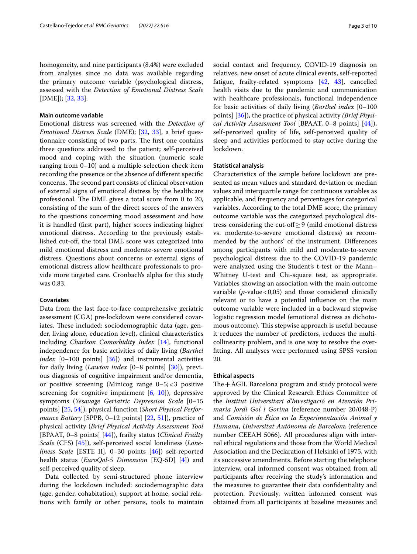homogeneity, and nine participants (8.4%) were excluded from analyses since no data was available regarding the primary outcome variable (psychological distress, assessed with the *Detection of Emotional Distress Scale* [DME]); [[32,](#page-8-17) [33](#page-8-18)].

#### **Main outcome variable**

Emotional distress was screened with the *Detection of Emotional Distress Scale* (DME); [\[32](#page-8-17), [33](#page-8-18)], a brief questionnaire consisting of two parts. The first one contains three questions addressed to the patient; self-perceived mood and coping with the situation (numeric scale ranging from 0–10) and a multiple-selection check item recording the presence or the absence of diferent specifc concerns. The second part consists of clinical observation of external signs of emotional distress by the healthcare professional. The DME gives a total score from 0 to 20, consisting of the sum of the direct scores of the answers to the questions concerning mood assessment and how it is handled (frst part), higher scores indicating higher emotional distress. According to the previously established cut-of, the total DME score was categorized into mild emotional distress and moderate-severe emotional distress. Questions about concerns or external signs of emotional distress allow healthcare professionals to provide more targeted care. Cronbach's alpha for this study was 0.83.

#### **Covariates**

Data from the last face-to-face comprehensive geriatric assessment (CGA) pre-lockdown were considered covariates. These included: sociodemographic data (age, gender, living alone, education level), clinical characteristics including *Charlson Comorbidity Index* [[14\]](#page-8-19), functional independence for basic activities of daily living (*Barthel index* [0–100 points] [\[36\]](#page-8-20)) and instrumental activities for daily living (*Lawton index* [0–8 points] [[30\]](#page-8-21)), previous diagnosis of cognitive impairment and/or dementia, or positive screening (Minicog range 0–5;<3 positive screening for cognitive impairment [[6,](#page-8-22) [10](#page-8-23)]), depressive symptoms (*Yesavage Geriatric Depression Scale* [0–15 points] [\[25](#page-8-24), [54\]](#page-9-4)), physical function (*Short Physical Performance Battery* [SPPB, 0–12 points] [[22,](#page-8-25) [51\]](#page-9-5)), practice of physical activity (*Brief Physical Activity Assessment Tool* [BPAAT, 0–8 points] [\[44](#page-9-6)]), frailty status (*Clinical Frailty Scale* (CFS) [\[45](#page-9-7)]), self-perceived social loneliness (*Loneliness Scale* [ESTE II], 0–30 points [\[46](#page-9-8)]) self-reported health status (*EuroQol-5 Dimension* [EQ-5D] [\[4](#page-8-26)]) and self-perceived quality of sleep.

Data collected by semi-structured phone interview during the lockdown included: sociodemographic data (age, gender, cohabitation), support at home, social relations with family or other persons, tools to maintain social contact and frequency, COVID-19 diagnosis on relatives, new onset of acute clinical events, self-reported fatigue, frailty-related symptoms [\[42](#page-9-2), [43\]](#page-9-3), cancelled health visits due to the pandemic and communication with healthcare professionals, functional independence for basic activities of daily living (*Barthel index* [0–100 points] [\[36](#page-8-20)]), the practice of physical activity *(Brief Physical Activity Assessment Tool* [BPAAT, 0–8 points] [\[44\]](#page-9-6)), self-perceived quality of life, self-perceived quality of sleep and activities performed to stay active during the lockdown.

#### **Statistical analysis**

Characteristics of the sample before lockdown are presented as mean values and standard deviation or median values and interquartile range for continuous variables as applicable, and frequency and percentages for categorical variables. According to the total DME score, the primary outcome variable was the categorized psychological distress considering the cut-off $\geq$ 9 (mild emotional distress vs. moderate-to-severe emotional distress) as recommended by the authors' of the instrument. Diferences among participants with mild and moderate-to-severe psychological distress due to the COVID-19 pandemic were analyzed using the Student's t-test or the Mann– Whitney U-test and Chi-square test, as appropriate. Variables showing an association with the main outcome variable  $(p$ -value < 0,05) and those considered clinically relevant or to have a potential infuence on the main outcome variable were included in a backward stepwise logistic regression model (emotional distress as dichotomous outcome). This stepwise approach is useful because it reduces the number of predictors, reduces the multicollinearity problem, and is one way to resolve the overftting. All analyses were performed using SPSS version 20.

#### **Ethical aspects**

The  $+\lambda$ GIL Barcelona program and study protocol were approved by the Clinical Research Ethics Committee of the *Institut Universitari d'Investigació en Atención Primaria Jordi Gol i Gorina* (reference number 20/048-P) and *Comisión de Ética en la Experimentación Animal y Humana*, *Universitat Autònoma de Barcelon*a (reference number CEEAH 5066). All procedures align with internal ethical regulations and those from the World Medical Association and the Declaration of Helsinki of 1975, with its successive amendments. Before starting the telephone interview, oral informed consent was obtained from all participants after receiving the study's information and the measures to guarantee their data confdentiality and protection. Previously, written informed consent was obtained from all participants at baseline measures and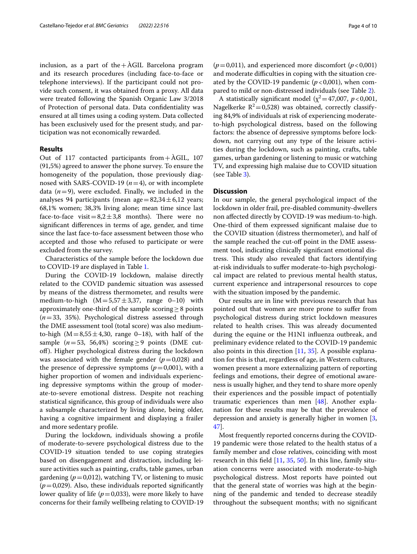inclusion, as a part of the  $+\text{\AA}$ GIL Barcelona program and its research procedures (including face-to-face or telephone interviews). If the participant could not provide such consent, it was obtained from a proxy. All data were treated following the Spanish Organic Law 3/2018 of Protection of personal data. Data confdentiality was ensured at all times using a coding system. Data collected has been exclusively used for the present study, and participation was not economically rewarded.

#### **Results**

Out of 117 contacted participants from+ÀGIL, 107 (91,5%) agreed to answer the phone survey. To ensure the homogeneity of the population, those previously diagnosed with SARS-COVID-19 (*n*=4), or with incomplete data  $(n=9)$ , were excluded. Finally, we included in the analyses 94 participants (mean age  $=82,34\pm6,12$  years; 68,1% women; 38,3% living alone; mean time since last face-to-face visit= $8,2 \pm 3,8$  months). There were no signifcant diferences in terms of age, gender, and time since the last face-to-face assessment between those who accepted and those who refused to participate or were excluded from the survey.

Characteristics of the sample before the lockdown due to COVID-19 are displayed in Table [1](#page-4-0).

During the COVID-19 lockdown, malaise directly related to the COVID pandemic situation was assessed by means of the distress thermometer, and results were medium-to-high  $(M=5.57 \pm 3.37$ , range 0–10) with approximately one-third of the sample scoring $\geq$ 8 points (*n*=33, 35%). Psychological distress assessed through the DME assessment tool (total score) was also mediumto-high  $(M=8,55\pm4,30,$  range 0–18), with half of the sample ( $n=53$ , 56,4%) scoring ≥ 9 points (DME cutof). Higher psychological distress during the lockdown was associated with the female gender  $(p=0.028)$  and the presence of depressive symptoms  $(p=0,001)$ , with a higher proportion of women and individuals experiencing depressive symptoms within the group of moderate-to-severe emotional distress. Despite not reaching statistical signifcance, this group of individuals were also a subsample characterized by living alone, being older, having a cognitive impairment and displaying a frailer and more sedentary profle.

During the lockdown, individuals showing a profle of moderate-to-severe psychological distress due to the COVID-19 situation tended to use coping strategies based on disengagement and distraction, including leisure activities such as painting, crafts, table games, urban gardening ( $p=0.012$ ), watching TV, or listening to music  $(p=0.029)$ . Also, these individuals reported significantly lower quality of life ( $p=0,033$ ), were more likely to have concerns for their family wellbeing relating to COVID-19

( $p$ =0,011), and experienced more discomfort ( $p$  < 0,001) and moderate difficulties in coping with the situation created by the COVID-19 pandemic  $(p<0,001)$ , when compared to mild or non-distressed individuals (see Table [2\)](#page-5-0).

A statistically significant model ( $\chi^2$  = 47,007, *p* < 0,001, Nagelkerke  $R^2$ =0,528) was obtained, correctly classifying 84,9% of individuals at risk of experiencing moderateto-high psychological distress, based on the following factors: the absence of depressive symptoms before lockdown, not carrying out any type of the leisure activities during the lockdown, such as painting, crafts, table games, urban gardening or listening to music or watching TV, and expressing high malaise due to COVID situation (see Table [3\)](#page-6-0).

#### **Discussion**

In our sample, the general psychological impact of the lockdown in older frail, pre-disabled community-dwellers non afected directly by COVID-19 was medium-to-high. One-third of them expressed signifcant malaise due to the COVID situation (distress thermometer), and half of the sample reached the cut-off point in the DME assessment tool, indicating clinically signifcant emotional distress. This study also revealed that factors identifying at-risk individuals to sufer moderate-to-high psychological impact are related to previous mental health status, current experience and intrapersonal resources to cope with the situation imposed by the pandemic.

Our results are in line with previous research that has pointed out that women are more prone to sufer from psychological distress during strict lockdown measures related to health crises. This was already documented during the equine or the H1N1 infuenza outbreak, and preliminary evidence related to the COVID-19 pandemic also points in this direction [[11](#page-8-27), [35](#page-8-28)]. A possible explanation for this is that, regardless of age, in Western cultures, women present a more externalizing pattern of reporting feelings and emotions, their degree of emotional awareness is usually higher, and they tend to share more openly their experiences and the possible impact of potentially traumatic experiences than men [\[48](#page-9-9)]. Another explanation for these results may be that the prevalence of depression and anxiety is generally higher in women [\[3](#page-8-29), [47\]](#page-9-10).

Most frequently reported concerns during the COVID-19 pandemic were those related to the health status of a family member and close relatives, coinciding with most research in this feld [\[11](#page-8-27), [35](#page-8-28), [50](#page-9-11)]. In this line, family situation concerns were associated with moderate-to-high psychological distress. Most reports have pointed out that the general state of worries was high at the beginning of the pandemic and tended to decrease steadily throughout the subsequent months; with no signifcant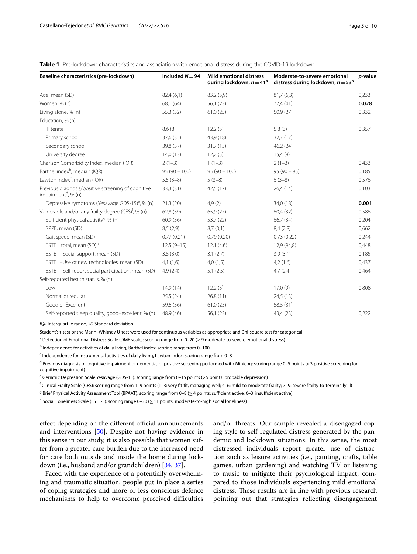#### <span id="page-4-0"></span>**Table 1** Pre-lockdown characteristics and association with emotional distress during the COVID-19 lockdown

| Baseline characteristics (pre-lockdown)                                               | Included $N = 94$ | <b>Mild emotional distress</b><br>during lockdown, $n = 41^a$ | Moderate-to-severe emotional<br>distress during lockdown, $n = 53a$ | p-value |
|---------------------------------------------------------------------------------------|-------------------|---------------------------------------------------------------|---------------------------------------------------------------------|---------|
| Age, mean (SD)                                                                        | 82,4(6,1)         | 83,2 (5,9)                                                    | 81,7(6,3)                                                           | 0,233   |
| Women, % (n)                                                                          | 68,1 (64)         | 56,1 (23)                                                     | 77,4 (41)                                                           | 0,028   |
| Living alone, % (n)                                                                   | 55,3 (52)         | 61,0(25)                                                      | 50,9 (27)                                                           | 0,332   |
| Education, % (n)                                                                      |                   |                                                               |                                                                     |         |
| Illiterate                                                                            | 8,6(8)            | 12,2(5)                                                       | 5,8(3)                                                              | 0,357   |
| Primary school                                                                        | 37,6 (35)         | 43,9 (18)                                                     | 32,7(17)                                                            |         |
| Secondary school                                                                      | 39,8 (37)         | 31,7(13)                                                      | 46,2(24)                                                            |         |
| University degree                                                                     | 14,0(13)          | 12,2(5)                                                       | 15,4(8)                                                             |         |
| Charlson Comorbidity Index, median (IQR)                                              | $2(1-3)$          | $1(1-3)$                                                      | $2(1-3)$                                                            | 0,433   |
| Barthel index <sup>b</sup> , median (IQR)                                             | $95(90 - 100)$    | $95(90 - 100)$                                                | $95(90 - 95)$                                                       | 0,185   |
| Lawton index <sup>c</sup> , median (IQR)                                              | $5,5(3-8)$        | $5(3-8)$                                                      | $6(3-8)$                                                            | 0,576   |
| Previous diagnosis/positive screening of cognitive<br>impairment <sup>d</sup> , % (n) | 33,3 (31)         | 42,5(17)                                                      | 26,4(14)                                                            | 0,103   |
| Depressive symptoms (Yesavage GDS-15) <sup>e</sup> , % (n)                            | 21,3(20)          | 4,9(2)                                                        | 34,0 (18)                                                           | 0,001   |
| Vulnerable and/or any frailty degree (CFS) <sup>f</sup> , % (n)                       | 62,8 (59)         | 65,9 (27)                                                     | 60,4 (32)                                                           | 0,586   |
| Sufficient physical activity <sup>9</sup> , % (n)                                     | 60,9 (56)         | 53,7 (22)                                                     | 66,7 (34)                                                           | 0,204   |
| SPPB, mean (SD)                                                                       | 8,5(2,9)          | 8,7(3,1)                                                      | 8,4(2,8)                                                            | 0,662   |
| Gait speed, mean (SD)                                                                 | 0,77(0,21)        | 0,79(0.20)                                                    | 0,73(0,22)                                                          | 0,244   |
| ESTE II total, mean (SD) <sup>h</sup>                                                 | $12,5(9-15)$      | 12,1(4.6)                                                     | 12,9 (94,8)                                                         | 0,448   |
| ESTE II-Social support, mean (SD)                                                     | 3,5(3,0)          | 3,1(2,7)                                                      | 3,9(3,1)                                                            | 0,185   |
| ESTE II-Use of new technologies, mean (SD)                                            | 4,1(1,6)          | 4,0(1,5)                                                      | 4,2(1,6)                                                            | 0,437   |
| ESTE II-Self-report social participation, mean (SD)                                   | 4.9(2.4)          | 5,1(2,5)                                                      | 4,7(2,4)                                                            | 0,464   |
| Self-reported health status, % (n)                                                    |                   |                                                               |                                                                     |         |
| l ow                                                                                  | 14,9(14)          | 12,2(5)                                                       | 17,0(9)                                                             | 0,808   |
| Normal or regular                                                                     | 25,5(24)          | 26,8(11)                                                      | 24,5(13)                                                            |         |
| Good or Excellent                                                                     | 59,6 (56)         | 61,0(25)                                                      | 58,5 (31)                                                           |         |
| Self-reported sleep quality, good-excellent, % (n)                                    | 48,9 (46)         | 56,1 (23)                                                     | 43,4 (23)                                                           | 0,222   |

*IQR* Interquartile range, *SD* Standard deviation

Student's t-test or the Mann–Whitney U-test were used for continuous variables as appropriate and Chi-square test for categorical

 $^{\rm a}$  Detection of Emotional Distress Scale (DME scale): scoring range from 0–20 ( $\geq$  9 moderate-to-severe emotional distress)

<sup>b</sup> Independence for activities of daily living, Barthel index: scoring range from 0-100

<sup>c</sup> Independence for instrumental activities of daily living, Lawton index: scoring range from 0-8

<sup>d</sup> Previous diagnosis of cognitive impairment or dementia, or positive screening performed with Minicog: scoring range 0–5 points (< 3 positive screening for cognitive impairment)

e Geriatric Depression Scale Yesavage (GDS-15): scoring range from 0–15 points (> 5 points: probable depression)

f Clinical Frailty Scale (CFS): scoring range from 1–9 points (1–3: very ft-ft, managing well; 4–6: mild-to-moderate frailty; 7–9: severe frailty-to-terminally ill)

<sup>g</sup> Brief Physical Activity Assessment Tool (BPAAT): scoring range from 0–8 ( $\geq$ 4 points: sufficient active, 0–3: insufficient active)

<sup>h</sup> Social Loneliness Scale (ESTE-II): scoring range 0−30 (≥ 11 points: moderate-to-high social loneliness)

effect depending on the different official announcements and interventions [[50\]](#page-9-11). Despite not having evidence in this sense in our study, it is also possible that women suffer from a greater care burden due to the increased need for care both outside and inside the home during lockdown (i.e., husband and/or grandchildren) [[34](#page-8-30), [37\]](#page-8-31).

Faced with the experience of a potentially overwhelming and traumatic situation, people put in place a series of coping strategies and more or less conscious defence mechanisms to help to overcome perceived difficulties and/or threats. Our sample revealed a disengaged coping style to self-regulated distress generated by the pandemic and lockdown situations. In this sense, the most distressed individuals report greater use of distraction such as leisure activities (i.e., painting, crafts, table games, urban gardening) and watching TV or listening to music to mitigate their psychological impact, compared to those individuals experiencing mild emotional distress. These results are in line with previous research pointing out that strategies refecting disengagement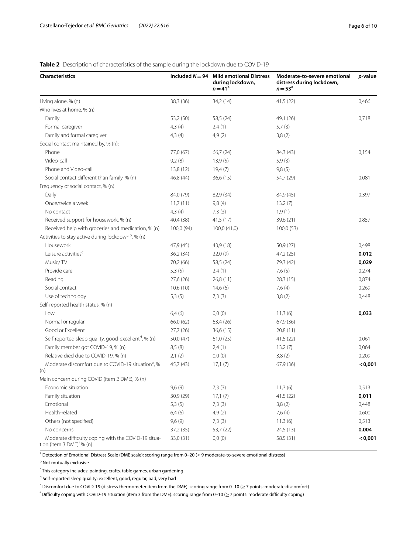### <span id="page-5-0"></span>**Table 2** Description of characteristics of the sample during the lockdown due to COVID-19

| <b>Characteristics</b>                                                                       |            | Included $N = 94$ Mild emotional Distress<br>during lockdown,<br>$n = 41^a$ | Moderate-to-severe emotional<br>distress during lockdown,<br>$n = 53^{\circ}$ | p-value |
|----------------------------------------------------------------------------------------------|------------|-----------------------------------------------------------------------------|-------------------------------------------------------------------------------|---------|
| Living alone, % (n)                                                                          | 38,3 (36)  | 34,2 (14)                                                                   | 41,5(22)                                                                      | 0,466   |
| Who lives at home, % (n)                                                                     |            |                                                                             |                                                                               |         |
| Family                                                                                       | 53,2 (50)  | 58,5 (24)                                                                   | 49,1 (26)                                                                     | 0,718   |
| Formal caregiver                                                                             | 4,3(4)     | 2,4(1)                                                                      | 5,7(3)                                                                        |         |
| Family and formal caregiver                                                                  | 4,3(4)     | 4,9(2)                                                                      | 3,8(2)                                                                        |         |
| Social contact maintained by, % (n):                                                         |            |                                                                             |                                                                               |         |
| Phone                                                                                        | 77,0 (67)  | 66,7 (24)                                                                   | 84,3 (43)                                                                     | 0,154   |
| Video-call                                                                                   | 9,2(8)     | 13,9(5)                                                                     | 5,9(3)                                                                        |         |
| Phone and Video-call                                                                         | 13,8 (12)  | 19,4 (7)                                                                    | 9,8(5)                                                                        |         |
| Social contact different than family, % (n)                                                  | 46,8 (44)  | 36,6(15)                                                                    | 54,7 (29)                                                                     | 0,081   |
| Frequency of social contact, % (n)                                                           |            |                                                                             |                                                                               |         |
| Daily                                                                                        | 84,0 (79)  | 82,9 (34)                                                                   | 84,9 (45)                                                                     | 0,397   |
| Once/twice a week                                                                            | 11,7(11)   | 9,8(4)                                                                      | 13,2(7)                                                                       |         |
| No contact                                                                                   | 4,3(4)     | 7,3(3)                                                                      | 1,9(1)                                                                        |         |
| Received support for housework, % (n)                                                        | 40,4 (38)  | 41,5(17)                                                                    | 39,6 (21)                                                                     | 0,857   |
| Received help with groceries and medication, % (n)                                           | 100,0 (94) | 100,0 (41,0)                                                                | 100,0 (53)                                                                    |         |
| Activities to stay active during lockdown <sup>b</sup> , % (n)                               |            |                                                                             |                                                                               |         |
| Housework                                                                                    | 47,9 (45)  | 43,9 (18)                                                                   | 50,9 (27)                                                                     | 0,498   |
| Leisure activities <sup>c</sup>                                                              | 36,2(34)   | 22,0(9)                                                                     | 47,2 (25)                                                                     | 0,012   |
| Music/TV                                                                                     | 70,2 (66)  | 58,5 (24)                                                                   | 79,3 (42)                                                                     | 0,029   |
| Provide care                                                                                 | 5,3(5)     | 2,4(1)                                                                      | 7,6(5)                                                                        | 0,274   |
| Reading                                                                                      | 27,6 (26)  | 26,8(11)                                                                    | 28,3(15)                                                                      | 0,874   |
| Social contact                                                                               | 10,6(10)   | 14,6(6)                                                                     | 7,6(4)                                                                        | 0,269   |
| Use of technology                                                                            | 5,3(5)     | 7,3(3)                                                                      | 3,8(2)                                                                        | 0,448   |
| Self-reported health status, % (n)                                                           |            |                                                                             |                                                                               |         |
| Low                                                                                          | 6,4(6)     | 0,0(0)                                                                      | 11,3(6)                                                                       | 0,033   |
| Normal or regular                                                                            | 66,0 (62)  | 63,4 (26)                                                                   | 67,9 (36)                                                                     |         |
| Good or Excellent                                                                            | 27,7(26)   | 36,6 (15)                                                                   | 20,8 (11)                                                                     |         |
| Self-reported sleep quality, good-excellent <sup>d</sup> , % (n)                             | 50,0 (47)  | 61,0(25)                                                                    | 41,5(22)                                                                      | 0,061   |
| Family member got COVID-19, % (n)                                                            | 8,5(8)     | 2,4(1)                                                                      | 13,2(7)                                                                       | 0,064   |
| Relative died due to COVID-19, % (n)                                                         | 2,1(2)     | 0,0(0)                                                                      | 3,8(2)                                                                        | 0,209   |
| Moderate discomfort due to COVID-19 situation <sup>e</sup> , %                               | 45,7 (43)  | 17,1(7)                                                                     | 67,9 (36)                                                                     | < 0,001 |
| (n)                                                                                          |            |                                                                             |                                                                               |         |
| Main concern during COVID (item 2 DME), % (n)                                                |            |                                                                             |                                                                               |         |
| Economic situation                                                                           | 9,6(9)     | 7,3(3)                                                                      | 11,3(6)                                                                       | 0,513   |
| Family situation                                                                             | 30,9 (29)  | 17,1(7)                                                                     | 41,5(22)                                                                      | 0,011   |
| Emotional                                                                                    | 5,3(5)     | 7,3(3)                                                                      | 3,8(2)                                                                        | 0,448   |
| Health-related                                                                               | 6,4(6)     | 4,9(2)                                                                      | 7,6(4)                                                                        | 0,600   |
| Others (not specified)                                                                       | 9,6(9)     | 7,3(3)                                                                      | 11,3(6)                                                                       | 0,513   |
| No concerns                                                                                  | 37,2 (35)  | 53,7 (22)                                                                   | 24,5(13)                                                                      | 0,004   |
| Moderate difficulty coping with the COVID-19 situa-<br>tion (item 3 $DME$ <sup>f</sup> % (n) | 33,0 (31)  | 0,0(0)                                                                      | 58,5 (31)                                                                     | < 0,001 |

 $^{\rm a}$  Detection of Emotional Distress Scale (DME scale): scoring range from 0–20 ( $\geq$  9 moderate-to-severe emotional distress)

<sup>b</sup> Not mutually exclusive

<sup>c</sup> This category includes: painting, crafts, table games, urban gardening

<sup>d</sup> Self-reported sleep quality: excellent, good, regular, bad, very bad

e Discomfort due to COVID-19 (distress thermometer item from the DME): scoring range from 0–10 (≥7 points: moderate discomfort)

 $^{\mathsf{f}}$  Difficulty coping with COVID-19 situation (item 3 from the DME): scoring range from 0–10 ( $\geq$  7 points: moderate difficulty coping)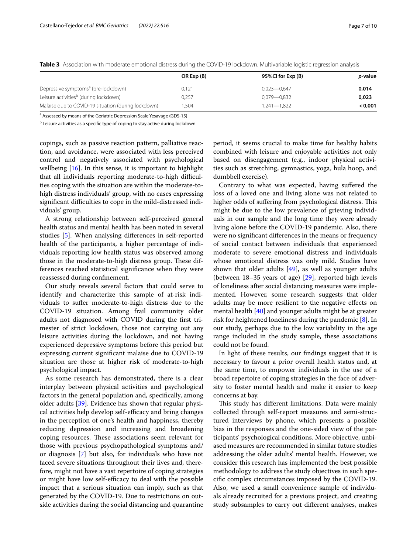|                                                     | OR Exp (B) | 95%Cl for Exp (B) | <i>p</i> -value |
|-----------------------------------------------------|------------|-------------------|-----------------|
| Depressive symptoms <sup>a</sup> (pre-lockdown)     | 0,121      | $0,023 - 0,647$   | 0,014           |
| Leisure activities <sup>b</sup> (during lockdown)   | 0,257      | $0.079 - 0.832$   | 0,023           |
| Malaise due to COVID-19 situation (during lockdown) | 1.504      | $1.241 - 1.822$   | 0.001           |

<span id="page-6-0"></span>**Table 3** Association with moderate emotional distress during the COVID-19 lockdown. Multivariable logistic regression analysis

<sup>a</sup> Assessed by means of the Geriatric Depression Scale Yesavage (GDS-15)

<sup>b</sup> Leisure activities as a specific type of coping to stay active during lockdown

copings, such as passive reaction pattern, palliative reaction, and avoidance, were associated with less perceived control and negatively associated with psychological wellbeing [\[16\]](#page-8-32). In this sense, it is important to highlight that all individuals reporting moderate-to-high difficulties coping with the situation are within the moderate-tohigh distress individuals' group, with no cases expressing significant difficulties to cope in the mild-distressed individuals' group.

A strong relationship between self-perceived general health status and mental health has been noted in several studies [\[5](#page-8-33)]. When analysing diferences in self-reported health of the participants, a higher percentage of individuals reporting low health status was observed among those in the moderate-to-high distress group. These differences reached statistical signifcance when they were reassessed during confnement.

Our study reveals several factors that could serve to identify and characterize this sample of at-risk individuals to sufer moderate-to-high distress due to the COVID-19 situation. Among frail community older adults not diagnosed with COVID during the frst trimester of strict lockdown, those not carrying out any leisure activities during the lockdown, and not having experienced depressive symptoms before this period but expressing current signifcant malaise due to COVID-19 situation are those at higher risk of moderate-to-high psychological impact.

As some research has demonstrated, there is a clear interplay between physical activities and psychological factors in the general population and, specifcally, among older adults [\[39](#page-8-34)]. Evidence has shown that regular physical activities help develop self-efficacy and bring changes in the perception of one's health and happiness, thereby reducing depression and increasing and broadening coping resources. These associations seem relevant for those with previous psychopathological symptoms and/ or diagnosis [\[7](#page-8-6)] but also, for individuals who have not faced severe situations throughout their lives and, therefore, might not have a vast repertoire of coping strategies or might have low self-efficacy to deal with the possible impact that a serious situation can imply, such as that generated by the COVID-19. Due to restrictions on outside activities during the social distancing and quarantine

period, it seems crucial to make time for healthy habits combined with leisure and enjoyable activities not only based on disengagement (e.g., indoor physical activities such as stretching, gymnastics, yoga, hula hoop, and dumbbell exercise).

Contrary to what was expected, having sufered the loss of a loved one and living alone was not related to higher odds of suffering from psychological distress. This might be due to the low prevalence of grieving individuals in our sample and the long time they were already living alone before the COVID-19 pandemic. Also, there were no signifcant diferences in the means or frequency of social contact between individuals that experienced moderate to severe emotional distress and individuals whose emotional distress was only mild. Studies have shown that older adults  $[49]$  $[49]$  $[49]$ , as well as younger adults (between 18–35 years of age) [[29\]](#page-8-35), reported high levels of loneliness after social distancing measures were implemented. However, some research suggests that older adults may be more resilient to the negative efects on mental health [\[40](#page-8-36)] and younger adults might be at greater risk for heightened loneliness during the pandemic [\[8](#page-8-37)]. In our study, perhaps due to the low variability in the age range included in the study sample, these associations could not be found.

In light of these results, our fndings suggest that it is necessary to favour a prior overall health status and, at the same time, to empower individuals in the use of a broad repertoire of coping strategies in the face of adversity to foster mental health and make it easier to keep concerns at bay.

This study has different limitations. Data were mainly collected through self-report measures and semi-structured interviews by phone, which presents a possible bias in the responses and the one-sided view of the participants' psychological conditions. More objective, unbiased measures are recommended in similar future studies addressing the older adults' mental health. However, we consider this research has implemented the best possible methodology to address the study objectives in such specifc complex circumstances imposed by the COVID-19. Also, we used a small convenience sample of individuals already recruited for a previous project, and creating study subsamples to carry out diferent analyses, makes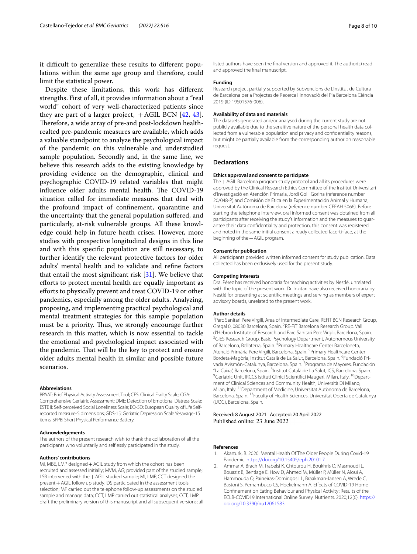it difficult to generalize these results to different populations within the same age group and therefore, could limit the statistical power.

Despite these limitations, this work has diferent strengths. First of all, it provides information about a "real world" cohort of very well-characterized patients since they are part of a larger project,  $+AGIL$  BCN [[42,](#page-9-2) [43](#page-9-3)]. Therefore, a wide array of pre-and post-lockdown healthrealted pre-pandemic measures are available, which adds a valuable standpoint to analyze the psychological impact of the pandemic on this vulnerable and understudied sample population. Secondly and, in the same line, we believe this research adds to the existing knowledge by providing evidence on the demographic, clinical and psychographic COVID-19 related variables that might influence older adults mental health. The COVID-19 situation called for immediate measures that deal with the profound impact of confnement, quarantine and the uncertainty that the general population sufered, and particularly, at-risk vulnerable groups. All these knowledge could help in future heath crises. However, more studies with prospective longitudinal designs in this line and with this specifc population are still necessary, to further identify the relevant protective factors for older adults' mental health and to validate and refne factors that entail the most significant risk  $[31]$  $[31]$ . We believe that efforts to protect mental health are equally important as eforts to physically prevent and treat COVID-19 or other pandemics, especially among the older adults. Analyzing, proposing, and implementing practical psychological and mental treatment strategies for this sample population must be a priority. Thus, we strongly encourage further research in this matter, which is now essential to tackle the emotional and psychological impact associated with the pandemic. That will be the key to protect and ensure older adults mental health in similar and possible future scenarios.

#### **Abbreviations**

BPAAT: Brief Physical Activity Assessment Tool; CFS: Clinical Frailty Scale; CGA: Comprehensive Geriatric Assessment; DME: Detection of Emotional Distress Scale; ESTE II: Self-perceived Social Loneliness Scale; EQ-5D: European Quality of Life Selfreported measure-5 dimensions; GDS-15: Geriatric Depression Scale Yesavage-15 items; SPPB: Short Physical Performance Battery.

#### **Acknowledgements**

The authors of the present research wish to thank the collaboration of all the participants who voluntarily and selfessly participated in the study.

#### **Authors' contributions**

MI, MBE, LMP designed+AGIL study from which the cohort has been recruited and assessed initially; MVM, AG; provided part of the studied sample; LSB intervened with the+AGIL studied sample; MI, LMP, CCT designed the present + AGIL follow up study; DS participated in the assessment tools selection; MF carried out the telephone follow-up assessments on the studied sample and manage data; CCT, LMP carried out statistical analyses; CCT, LMP draft the preliminary version of this manuscript and all subsequent versions; all listed authors have seen the fnal version and approved it. The author(s) read and approved the fnal manuscript.

#### **Funding**

Research project partially supported by Subvencions de L'institut de Cultura de Barcelona per a Projectes de Recerca i Innovació del Pla Barcelona Ciència 2019 (ID 19S01576-006).

#### **Availability of data and materials**

The datasets generated and/or analysed during the current study are not publicly available due to the sensitive nature of the personal health data collected from a vulnerable population and privacy and confdentiality reasons, but might be partially available from the corresponding author on reasonable request.

#### **Declarations**

#### **Ethics approval and consent to participate**

The + ÀGIL Barcelona program study protocol and all its procedures were approved by the Clinical Research Ethics Committee of the Institut Universitari d'Investigació en Atención Primaria, Jordi Gol i Gorina (reference number 20/048-P) and Comisión de Ética en la Experimentación Animal y Humana, Universitat Autònoma de Barcelona (reference number CEEAH 5066). Before starting the telephone interview, oral informed consent was obtained from all participants after receiving the study's information and the measures to quarantee their data confdentiality and protection, this consent was registered and noted in the same initial consent already collected face-ti-face, at the beginning of the+AGIL program.

#### **Consent for publication**

All participants provided written informed consent for study publication. Data collected has been exclusively used for the present study.

#### **Competing interests**

Dra. Pérez has received honoraria for teaching activities by Nestlé, unrelated with the topic of the present work. Dr. Inzitari have also received honoraria by Nestlé for presenting at scientifc meetings and serving as members of expert advisory boards, unrelated to the present work.

#### **Author details**

<sup>1</sup> Parc Sanitari Pere Virgili, Area of Intermediate Care, REFIT BCN Research Group, Gregal 0, 08030 Barcelona, Spain. <sup>2</sup>RE-FIT Barcelona Research Group. Vall d'Hebron Institute of Research and Parc Sanitari Pere Virgili, Barcelona, Spain. 3 <sup>3</sup>GIES Research Group, Basic Psychology Department, Autonomous University of Barcelona, Bellaterra, Spain. <sup>4</sup> Primary Healthcare Center Barceloneta, Atenció Primària Pere Virgili, Barcelona, Spain. <sup>5</sup> Primary Healthcare Center Bordeta-Magòria, Institut Català de La Salut, Barcelona, Spain. <sup>6</sup>Fundació Privada Avismón-Catalunya, Barcelona, Spain. <sup>7</sup> Programa de Mayores. Fundación "La Caixa", Barcelona, Spain. <sup>8</sup>Institut Català de La Salut, ICS, Barcelona, Spain.<br><sup>9</sup>Goriatric Unit, IPCCS Istituti Clinici Scientifici Maugeri, Milan, Italy, <sup>10</sup>Donart. <sup>9</sup> Geriatric Unit, IRCCS Istituti Clinici Scientifici Maugeri, Milan, Italy. <sup>10</sup> Department of Clinical Sciences and Community Health, Università Di Milano, Milan, Italy. 11Department of Medicine, Universitat Autònoma de Barcelona, Barcelona, Spain. 12Faculty of Health Sciences, Universitat Oberta de Catalunya (UOC), Barcelona, Spain.

Received: 8 August 2021 Accepted: 20 April 2022

#### **References**

- <span id="page-7-1"></span>1. Akarturk, B. 2020. Mental Health Of The Older People During Covid-19 Pandemic.<https://doi.org/10.15405/eph.20101.7>
- <span id="page-7-0"></span>2. Ammar A, Brach M, Trabelsi K, Chtourou H, Boukhris O, Masmoudi L, Bouaziz B, Bentlage E. How D, Ahmed M, Müller P, Müller N, Aloui A, Hammouda O, Paineiras-Domingos LL, Braakman-Jansen A, Wrede C, Bastoni S, Pernambuco CS, Hoekelmann A. Efects of COVID-19 Home Confnement on Eating Behaviour and Physical Activity: Results of the ECLB-COVID19 International Online Survey. Nutrients. 2020;12(6). [https://](https://doi.org/10.3390/nu12061583) [doi.org/10.3390/nu12061583](https://doi.org/10.3390/nu12061583)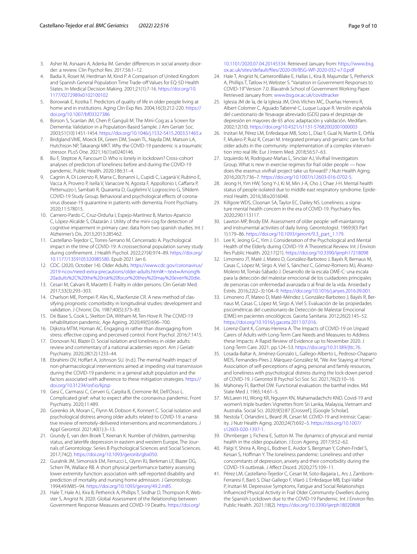- <span id="page-8-29"></span>3. Asher M, Asnaani A, Aderka IM. Gender differences in social anxiety disorder: a review. Clin Psychol Rev. 2017;56:1–12.
- <span id="page-8-26"></span>4. Badia X, Roset M, Herdman M, Kind P. A Comparison of United Kingdom and Spanish General Population Time Trade-off Values for EQ-5D Health States. In Medical Decision Making. 2001;21(1):7-16. [https://doi.org/10.](https://doi.org/10.1177/0272989x0102100102) [1177/0272989x0102100102](https://doi.org/10.1177/0272989x0102100102)
- <span id="page-8-33"></span>5. Borowiak E, Kostka T. Predictors of quality of life in older people living at home and in institutions. Aging Clin Exp Res. 2004;16(3):212-220. [https://](https://doi.org/10.1007/bf03327386) [doi.org/10.1007/bf03327386](https://doi.org/10.1007/bf03327386)
- <span id="page-8-22"></span>6. Borson S, Scanlan JM, Chen P, Ganguli M. The Mini-Cog as a Screen for Dementia: Validation in a Population-Based Sample. J Am Geriatr Soc. 2003;51(10):1451-1454.<https://doi.org/10.1046/j.1532-5415.2003.51465.x>
- <span id="page-8-6"></span>7. Bridgland VME, Moeck EK, Green DM, Swain TL, Nayda DM, Matson LA, Hutchison NP, Takarangi MKT. Why the COVID-19 pandemic is a traumatic stressor. PLoS One. 2021;16(1):e0240146.
- <span id="page-8-37"></span>8. Bu F, Steptoe A, Fancourt D. Who is lonely in lockdown? Cross-cohort analyses of predictors of loneliness before and during the COVID-19 pandemic. Public Health. 2020;186:31–4.
- <span id="page-8-3"></span>9. Cagnin A, Di Lorenzo R, Marra C, Bonanni L, Cupidi C, Laganà V, Rubino E, Vacca A, Provero P, Isella V, Vanacore N, Agosta F, Appollonio I, Cafarra P, Pettenuzzo I, Sambati R, Quaranta D, Guglielmi V, Logroscino G, SINdem COVID-19 Study Group. Behavioral and psychological effects of coronavirus disease-19 quarantine in patients with dementia. Front Psychiatry. 2020;11:578015.
- <span id="page-8-23"></span>10. Carnero-Pardo C, Cruz-Orduña I, Espejo-Martínez B, Martos-Aparicio C, López-Alcalde S, Olazarán J. Utility of the mini-cog for detection of cognitive impairment in primary care: data from two spanish studies. Int J Alzheimer's Dis. 2013;2013:285462.
- <span id="page-8-27"></span>11. Castellano-Tejedor C, Torres-Serrano M, Cencerrado A. Psychological impact in the time of COVID-19: A crosssectional population survey study during confnement. J Health Psychol. 2022;27(4):974–89. [https://doi.org/](https://doi.org/10.1177/1359105320985580) [10.1177/1359105320985580](https://doi.org/10.1177/1359105320985580). Epub 2021 Jan 6.
- <span id="page-8-1"></span>12. CDC. (2020, October 14). Older Adults. [https://www.cdc.gov/coronavirus/](https://www.cdc.gov/coronavirus/2019-ncov/need-extra-precautions/older-adults.html#:~:text=Among%20adults%2C%20the%20risk%20for,or%20they%20may%20even%20die) [2019-ncov/need-extra-precautions/older-adults.html#:~:text](https://www.cdc.gov/coronavirus/2019-ncov/need-extra-precautions/older-adults.html#:~:text=Among%20adults%2C%20the%20risk%20for,or%20they%20may%20even%20die)=Among% [20adults%2C%20the%20risk%20for,or%20they%20may%20even%20die.](https://www.cdc.gov/coronavirus/2019-ncov/need-extra-precautions/older-adults.html#:~:text=Among%20adults%2C%20the%20risk%20for,or%20they%20may%20even%20die)
- <span id="page-8-11"></span>13. Cesari M, Calvani R, Marzetti E. Frailty in older persons. Clin Geriatr Med. 2017;33(3):293–303.
- <span id="page-8-19"></span>14. Charlson ME, Pompei P, Ales KL, MacKenzie CR. A new method of classifying prognostic comorbidity in longitudinal studies: development and validation. J Chronic Dis. 1987;40(5):373–83.
- <span id="page-8-9"></span>15. De Biase S, Cook L, Skelton DA, Witham M, Ten Hove R. The COVID-19 rehabilitation pandemic. Age Ageing. 2020;49(5):696–700.
- <span id="page-8-32"></span>16. Dijkstra MTM, Homan AC. Engaging in rather than disengaging from stress: efective coping and perceived control. Front Psychol. 2016;7:1415.
- <span id="page-8-13"></span>17. Donovan NJ, Blazer D. Social isolation and loneliness in older adults: review and commentary of a national academies report. Am J Geriatr Psychiatry. 2020;28(12):1233–44.
- <span id="page-8-5"></span>18. Ebrahimi OV, Hoffart A, Johnson SU. (n.d.). The mental health impact of non-pharmacological interventions aimed at impeding viral transmission during the COVID-19 pandemic in a general adult population and the factors associated with adherence to these mitigation strategies. [https://](https://doi.org/10.31234/osf.io/kjzsp) [doi.org/10.31234/osf.io/kjzsp](https://doi.org/10.31234/osf.io/kjzsp)
- <span id="page-8-10"></span>19. Gesi C, Carmassi C, Cerveri G, Carpita B, Cremone IM, Dell'Osso L. Complicated grief: what to expect after the coronavirus pandemic. Front Psychiatry. 2020;11:489.
- <span id="page-8-8"></span>20. Gorenko JA, Moran C, Flynn M, Dobson K, Konnert C. Social isolation and psychological distress among older adults related to COVID-19: a narrative review of remotely-delivered interventions and recommendations. J Appl Gerontol. 2021;40(1):3–13.
- <span id="page-8-14"></span>21. Grundy E, van den Broek T, Keenan K. Number of children, partnership status, and laterlife depression in eastern and western Europe, The Journals of Gerontology: Series B Psychological Sciences and Social Sciences. 2017;74(2). <https://doi.org/10.1093/geronb/gbx050>.
- <span id="page-8-25"></span>22. Guralnik JM, Simonsick EM, Ferrucci L, Glynn RJ, Berkman LF, Blazer DG, Scherr PA, Wallace RB. A short physical performance battery assessing lower extremity function: association with self-reported disability and prediction of mortality and nursing home admission. J Gerontology. 1994;49:M85–94.<https://doi.org/10.1093/geronj/49.2.m85>.
- <span id="page-8-2"></span>23. Hale T, Hale AJ, Kira B, Petherick A, Phillips T, Sridhar D, Thompson R, Webster S, Angrist N. 2020. Global Assessment of the Relationship between Government Response Measures and COVID-19 Deaths. [https://doi.org/](https://doi.org/10.1101/2020.07.04.20145334)

[10.1101/2020.07.04.20145334](https://doi.org/10.1101/2020.07.04.20145334). Retrieved January from: [https://www.bsg.](https://www.bsg.ox.ac.uk/sites/default/files/2020-09/BSG-WP-2020-032-v7.0.pdf) [ox.ac.uk/sites/default/fles/2020-09/BSG-WP-2020-032-v7.0.pdf](https://www.bsg.ox.ac.uk/sites/default/files/2020-09/BSG-WP-2020-032-v7.0.pdf)

- <span id="page-8-0"></span>24. Hale T, Angrist N, CameronBlake E, Hallas L, Kira B, Majumdar S, Petherick A, Phillips T, Tatlow H, Webster S. "Variation in Government Responses to COVID-19" Version 7.0. Blavatnik School of Government Working Paper. Retrieved January from: [www.bsg.ox.ac.uk/covidtracker](http://www.bsg.ox.ac.uk/covidtracker)
- <span id="page-8-24"></span>25. Iglesia JM de la, de la Iglesia JM, Onís Vilches MC, Dueñas Herrero R, Albert Colomer C, Aguado Taberné C, Luque Luque R. Versión española del cuestionario de Yesavage abreviado (GDS) para el despistaje de depresión en mayores de 65 años: adaptación y validación. Medifam. 2002;12(10).<https://doi.org/10.4321/s1131-57682002001000003>
- <span id="page-8-16"></span>26. Inzitari M, Pérez LM, Enfedaque MB, Soto L, Díaz F, Gual N, Martín E, Orfla F, Mulero P, Ruiz R, Cesari M. Integrated primary and geriatric care for frail older adults in the community: implementation of a complex intervention into real life. Eur J Intern Med. 2018;56:57–63.
- <span id="page-8-15"></span>27. Izquierdo M, Rodriguez-Mañas L, Sinclair AJ, Vivifrail Investigators Group. What is new in exercise regimes for frail older people — how does the erasmus vivifrail project take us forward? J Nutr Health Aging. 2016;20(7):736–7.<https://doi.org/10.1007/s12603-016-0702-5>.
- <span id="page-8-4"></span>28. Jeong H, Yim HW, Song Y-J, Ki M, Min J-A, Cho J, Chae J-H. Mental health status of people isolated due to middle east respiratory syndrome. Epidemiol Health. 2016;38:e2016048.
- <span id="page-8-35"></span>29. Killgore WDS, Cloonan SA, Taylor EC, Dailey NS. Loneliness: a signature mental health concern in the era of COVID-19. Psychiatry Res. 2020;290:113117.
- <span id="page-8-21"></span>30. Lawton MP, Brody EM. Assessment of older people: self-maintaining and instrumental activities of daily living. Gerontologist. 1969;9(3 Part 1):179–86. [https://doi.org/10.1093/geront/9.3\\_part\\_1.179.](https://doi.org/10.1093/geront/9.3_part_1.179)
- <span id="page-8-38"></span>31. Lee K, Jeong G-C, Yim J. Consideration of the Psychological and Mental Health of the Elderly during COVID-19: A Theoretical Review. Int J Environ Res Public Health. 202;17(21).<https://doi.org/10.3390/ijerph17218098>
- <span id="page-8-17"></span>32. Limonero JT, Maté J, Mateo D, González-Barboteo J, Bayés R, Bernaus M, Casas C, López M, Sirgo A, Viel S, Sánchez C, Gómez-Romero MJ, Álvarez-Moleiro M, Tomás-Sábado J. Desarrollo de la escala DME-C: una escala para la detección del malestar emocional de los cuidadores principales de personas con enfermedad avanzada o al fnal de la vida. Ansiedad y Estrés. 2016;22(2–3):104–9. <https://doi.org/10.1016/j.anyes.2016.09.001>.
- <span id="page-8-18"></span>33. Limonero JT, Mateo D, Maté-Méndez J, González-Barboteo J, Bayés R, Bernaus M, Casas C, López M, Sirgo A, Viel S. Evaluación de las propiedades psicométricas del cuestionario de Detección de Malestar Emocional (DME) en pacientes oncológicos. Gaceta Sanitaria. 2012;26(2):145–52. <https://doi.org/10.1016/j.gaceta.2011.07.016>.
- <span id="page-8-30"></span>34. Lorenz-Dant K, Comas-Herrera A. The Impacts of COVID-19 on Unpaid Carers of Adults with Long-Term Care Needs and Measures to Address these Impacts: A Rapid Review of Evidence up to November 2020. J Long-Term Care. 2021. pp.124–53. [https://doi.org/10.31389/jltc.76.](https://doi.org/10.31389/jltc.76)
- <span id="page-8-28"></span>35. Losada-Baltar A, Jiménez-Gonzalo L, Gallego-Alberto L, Pedroso-Chaparro MDS, Fernandes-Pires J, Márquez-González M, "We Are Staying at Home." Association of self-perceptions of aging, personal and family resources, and loneliness with psychological distress during the lock-down period of COVID-19. J Gerontol B Psychol Sci Soc Sci. 2021;76(2):10–16.
- <span id="page-8-20"></span>36. Mahoney FI, Barthel DW. Functional evaluation: the barthel index. Md State Med J. 1965;14:61–5.
- <span id="page-8-31"></span>37. McLaren HJ, Wong KR, Nguyen KN, Mahamadachchi KND. Covid-19 and women's triple burden: Vignettes from Sri Lanka, Malaysia, Vietnam and Australia. Social Sci. 2020;9(5):87 [Crossref ], [Google Scholar].
- <span id="page-8-12"></span>38. Nestola T, Orlandini L, Beard JR, Cesari M. COVID-19 and Intrinsic Capacity. J Nutr Health Aging. 2020;24(7):692–5. [https://doi.org/10.1007/](https://doi.org/10.1007/s12603-020-1397-1) [s12603-020-1397-1.](https://doi.org/10.1007/s12603-020-1397-1)
- <span id="page-8-34"></span>39. Ohrnberger J, Fichera E, Sutton M. The dynamics of physical and mental health in the older population. J Econ Ageing. 2017;9:52–62.
- <span id="page-8-36"></span>40. Palgi Y, Shrira A, Ring L, Bodner E, Avidor S, Bergman Y, Cohen-Fridel S, Keisari S, Hofman Y. The loneliness pandemic: Loneliness and other concomitants of depression, anxiety and their comorbidity during the COVID-19 outbreak. J Afect Disord. 2020;275:109–11.
- <span id="page-8-7"></span>41. Pérez LM, Castellano-Tejedor C, Cesari M, Soto-Bagaria L, Ars J, Zambom-Ferraresi F, Baró S, Díaz-Gallego F, Vilaró J, Enfedaque MB, Espí-Valbé P, Inzitari M. Depressive Symptoms, Fatigue and Social Relationships Infuenced Physical Activity in Frail Older Community-Dwellers during the Spanish Lockdown due to the COVID-19 Pandemic. Int J Environ Res Public Health. 2021;18(2).<https://doi.org/10.3390/ijerph18020808>